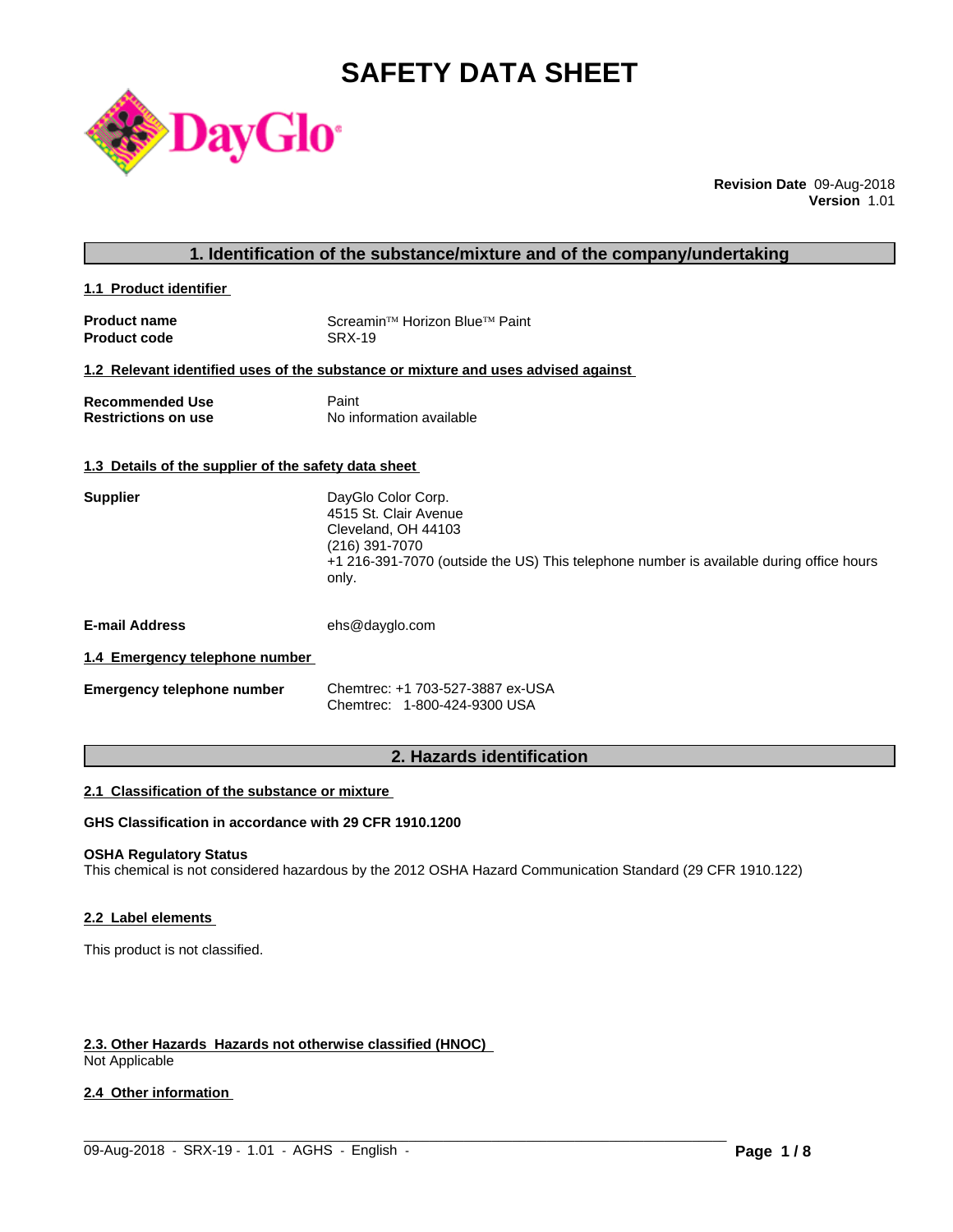# **SAFETY DATA SHEET**



**Revision Date** 09-Aug-2018 **Version** 1.01

| 1. Identification of the substance/mixture and of the company/undertaking |
|---------------------------------------------------------------------------|
|---------------------------------------------------------------------------|

**1.1 Product identifier** 

| <b>Product name</b> | Screamin <sup>™</sup> Horizon Blue™ Paint |
|---------------------|-------------------------------------------|
| <b>Product code</b> | SRX-19                                    |

#### **1.2 Relevant identified uses of the substance or mixture and uses advised against**

| <b>Recommended Use</b>     | Paint                    |
|----------------------------|--------------------------|
| <b>Restrictions on use</b> | No information available |

#### **1.3 Details of the supplier of the safety data sheet**

| DayGlo Color Corp.<br>4515 St. Clair Avenue                                             |
|-----------------------------------------------------------------------------------------|
|                                                                                         |
| Cleveland, OH 44103                                                                     |
| (216) 391-7070                                                                          |
| +1 216-391-7070 (outside the US) This telephone number is available during office hours |
|                                                                                         |
|                                                                                         |

**E-mail Address** ehs@dayglo.com

# **1.4 Emergency telephone number**

| <b>Emergency telephone number</b> | Chemtrec: +1 703-527-3887 ex-USA |
|-----------------------------------|----------------------------------|
|                                   | Chemtrec: 1-800-424-9300 USA     |

# **2. Hazards identification**

#### **2.1 Classification of the substance or mixture**

# **GHS Classification in accordance with 29 CFR 1910.1200**

# **OSHA Regulatory Status**

This chemical is not considered hazardous by the 2012 OSHA Hazard Communication Standard (29 CFR 1910.122)

 $\_$  ,  $\_$  ,  $\_$  ,  $\_$  ,  $\_$  ,  $\_$  ,  $\_$  ,  $\_$  ,  $\_$  ,  $\_$  ,  $\_$  ,  $\_$  ,  $\_$  ,  $\_$  ,  $\_$  ,  $\_$  ,  $\_$  ,  $\_$  ,  $\_$  ,  $\_$  ,  $\_$  ,  $\_$  ,  $\_$  ,  $\_$  ,  $\_$  ,  $\_$  ,  $\_$  ,  $\_$  ,  $\_$  ,  $\_$  ,  $\_$  ,  $\_$  ,  $\_$  ,  $\_$  ,  $\_$  ,  $\_$  ,  $\_$  ,

#### **2.2 Label elements**

This product is not classified.

# **2.3. Other Hazards Hazards not otherwise classified (HNOC)**

Not Applicable

### **2.4 Other information**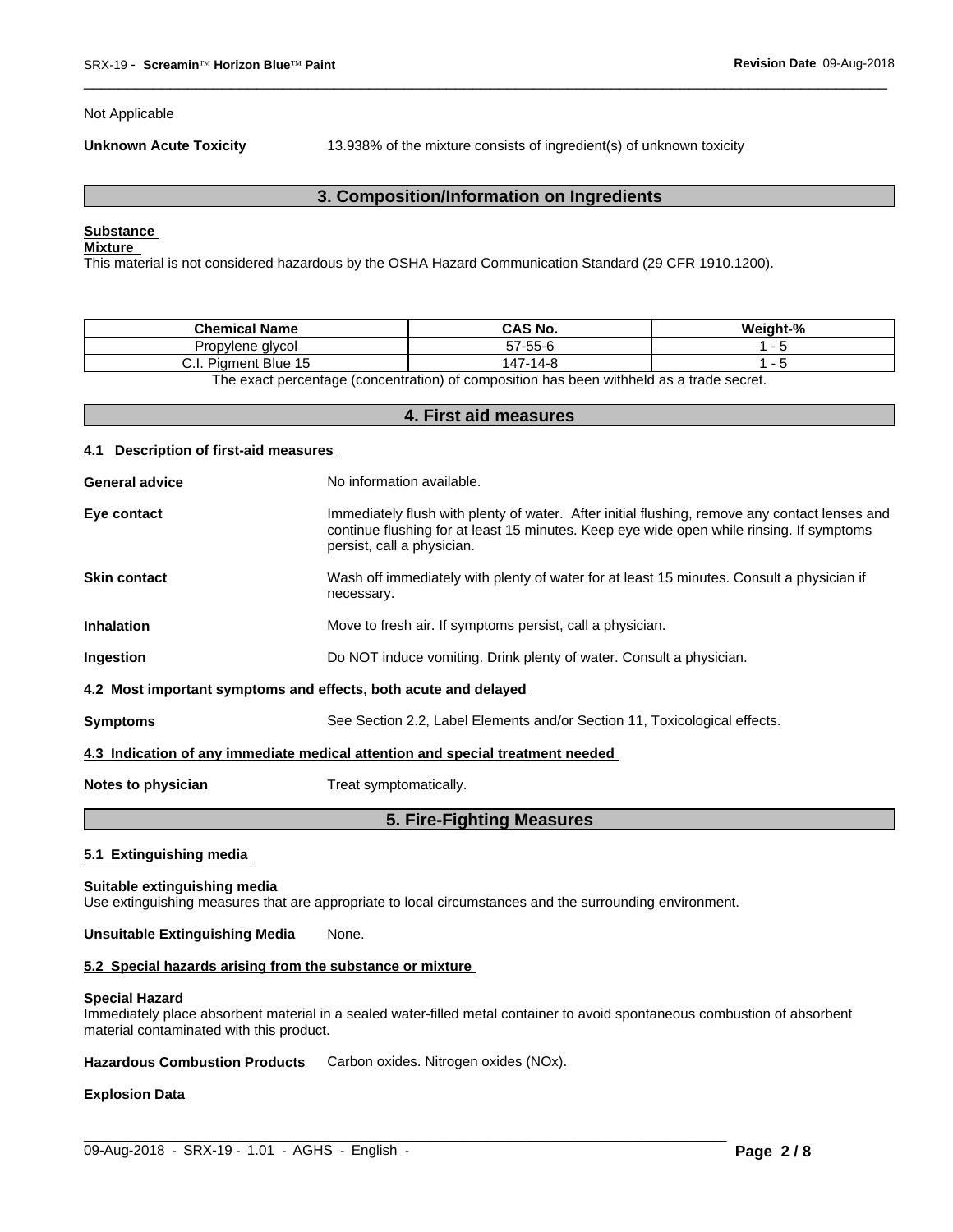Not Applicable

**Unknown Acute Toxicity** 13.938% of the mixture consists of ingredient(s) of unknown toxicity

 $\overline{\phantom{a}}$  ,  $\overline{\phantom{a}}$  ,  $\overline{\phantom{a}}$  ,  $\overline{\phantom{a}}$  ,  $\overline{\phantom{a}}$  ,  $\overline{\phantom{a}}$  ,  $\overline{\phantom{a}}$  ,  $\overline{\phantom{a}}$  ,  $\overline{\phantom{a}}$  ,  $\overline{\phantom{a}}$  ,  $\overline{\phantom{a}}$  ,  $\overline{\phantom{a}}$  ,  $\overline{\phantom{a}}$  ,  $\overline{\phantom{a}}$  ,  $\overline{\phantom{a}}$  ,  $\overline{\phantom{a}}$ 

# **3. Composition/Information on Ingredients**

# **Substance**

# **Mixture**

This material is not considered hazardous by the OSHA Hazard Communication Standard (29 CFR 1910.1200).

| .<br><b>Chemical</b><br>. Name   | <b>CAS No.</b>                      | Moint <sub>0</sub> |
|----------------------------------|-------------------------------------|--------------------|
| vlene alvcol<br>Jron<br>.        | $- - -$<br>$-7$<br>7-55-t<br>$\sim$ |                    |
| <b>Piament Blue</b><br>◡.୲.<br>. | 447-14<br>$\sim$                    |                    |

The exact percentage (concentration) of composition has been withheld as a trade secret.

# **4. First aid measures**

#### **4.1 Description of first-aid measures**

| <b>General advice</b>                                                          | No information available.                                                                                                                                                                                               |  |  |  |
|--------------------------------------------------------------------------------|-------------------------------------------------------------------------------------------------------------------------------------------------------------------------------------------------------------------------|--|--|--|
| Eye contact                                                                    | Immediately flush with plenty of water. After initial flushing, remove any contact lenses and<br>continue flushing for at least 15 minutes. Keep eye wide open while rinsing. If symptoms<br>persist, call a physician. |  |  |  |
| <b>Skin contact</b>                                                            | Wash off immediately with plenty of water for at least 15 minutes. Consult a physician if<br>necessary.                                                                                                                 |  |  |  |
| Inhalation                                                                     | Move to fresh air. If symptoms persist, call a physician.                                                                                                                                                               |  |  |  |
| Ingestion                                                                      | Do NOT induce vomiting. Drink plenty of water. Consult a physician.                                                                                                                                                     |  |  |  |
| 4.2 Most important symptoms and effects, both acute and delayed                |                                                                                                                                                                                                                         |  |  |  |
| <b>Symptoms</b>                                                                | See Section 2.2, Label Elements and/or Section 11, Toxicological effects.                                                                                                                                               |  |  |  |
| 4.3 Indication of any immediate medical attention and special treatment needed |                                                                                                                                                                                                                         |  |  |  |
| Notes to physician                                                             | Treat symptomatically.                                                                                                                                                                                                  |  |  |  |

# **5. Fire-Fighting Measures**

#### **5.1 Extinguishing media**

#### **Suitable extinguishing media**

Use extinguishing measures that are appropriate to local circumstances and the surrounding environment.

#### **Unsuitable Extinguishing Media** None.

#### **5.2 Special hazards arising from the substance or mixture**

#### **Special Hazard**

Immediately place absorbent material in a sealed water-filled metal container to avoid spontaneous combustion of absorbent material contaminated with this product.

 $\_$  ,  $\_$  ,  $\_$  ,  $\_$  ,  $\_$  ,  $\_$  ,  $\_$  ,  $\_$  ,  $\_$  ,  $\_$  ,  $\_$  ,  $\_$  ,  $\_$  ,  $\_$  ,  $\_$  ,  $\_$  ,  $\_$  ,  $\_$  ,  $\_$  ,  $\_$  ,  $\_$  ,  $\_$  ,  $\_$  ,  $\_$  ,  $\_$  ,  $\_$  ,  $\_$  ,  $\_$  ,  $\_$  ,  $\_$  ,  $\_$  ,  $\_$  ,  $\_$  ,  $\_$  ,  $\_$  ,  $\_$  ,  $\_$  ,

**Hazardous Combustion Products** Carbon oxides. Nitrogen oxides (NOx).

#### **Explosion Data**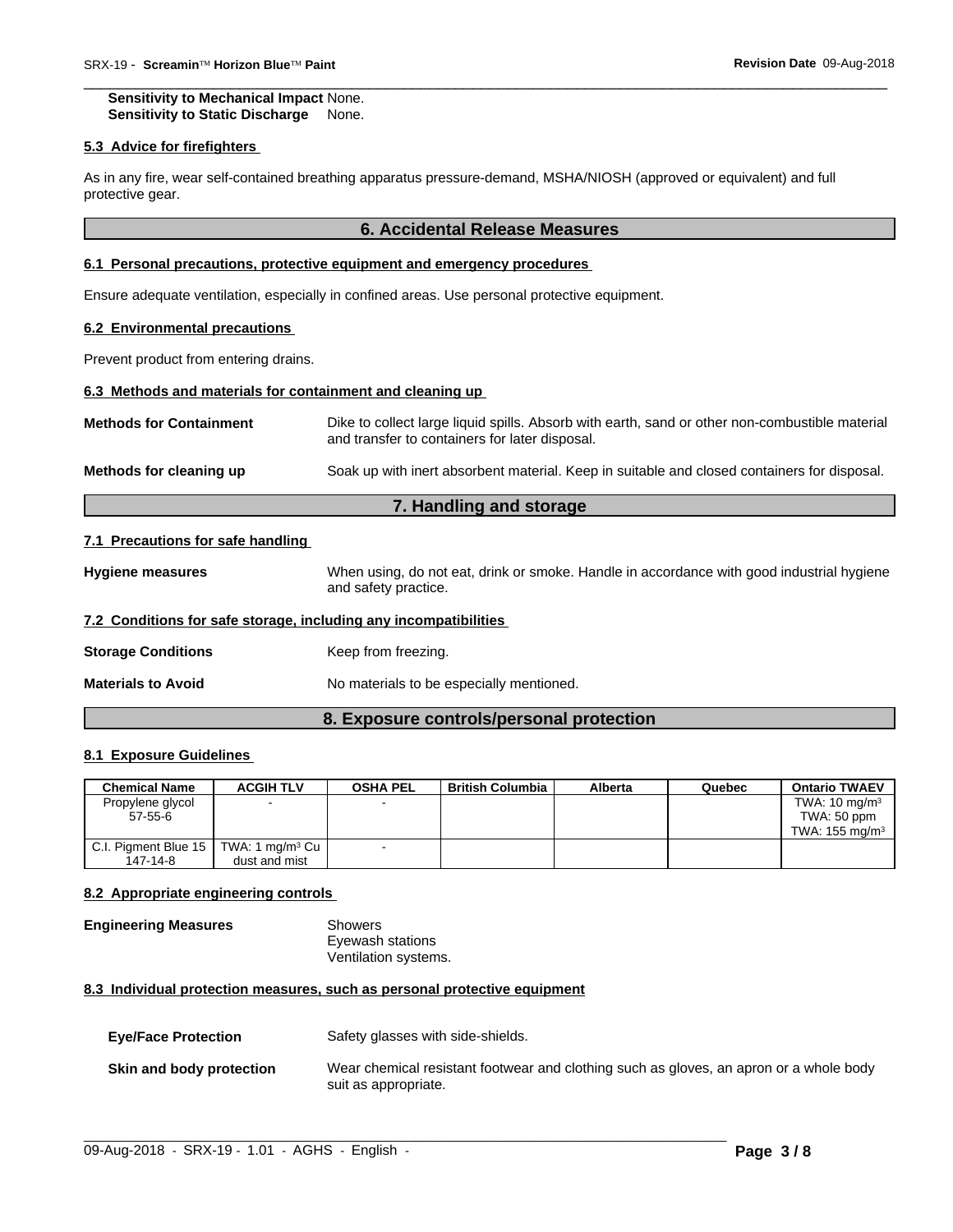**Sensitivity to Mechanical Impact** None. **Sensitivity to Static Discharge** None.

#### **5.3 Advice for firefighters**

As in any fire, wear self-contained breathing apparatus pressure-demand, MSHA/NIOSH (approved or equivalent) and full protective gear.

# **6. Accidental Release Measures**

 $\overline{\phantom{a}}$  ,  $\overline{\phantom{a}}$  ,  $\overline{\phantom{a}}$  ,  $\overline{\phantom{a}}$  ,  $\overline{\phantom{a}}$  ,  $\overline{\phantom{a}}$  ,  $\overline{\phantom{a}}$  ,  $\overline{\phantom{a}}$  ,  $\overline{\phantom{a}}$  ,  $\overline{\phantom{a}}$  ,  $\overline{\phantom{a}}$  ,  $\overline{\phantom{a}}$  ,  $\overline{\phantom{a}}$  ,  $\overline{\phantom{a}}$  ,  $\overline{\phantom{a}}$  ,  $\overline{\phantom{a}}$ 

#### **6.1 Personal precautions, protective equipment and emergency procedures**

Ensure adequate ventilation, especially in confined areas. Use personal protective equipment.

#### **6.2 Environmental precautions**

Prevent product from entering drains.

# **6.3 Methods and materials for containment and cleaning up**

| <b>Methods for Containment</b> | Dike to collect large liquid spills. Absorb with earth, sand or other non-combustible material<br>and transfer to containers for later disposal. |
|--------------------------------|--------------------------------------------------------------------------------------------------------------------------------------------------|
| Methods for cleaning up        | Soak up with inert absorbent material. Keep in suitable and closed containers for disposal.                                                      |

# **7. Handling and storage**

#### **7.1 Precautions for safe handling**

**Hygiene measures** When using, do not eat, drink or smoke. Handle in accordance with good industrial hygiene and safety practice.

#### **7.2 Conditions for safe storage, including any incompatibilities**

| <b>Storage Conditions</b> | Keep from freezing. |
|---------------------------|---------------------|
|---------------------------|---------------------|

**Materials to Avoid** No materials to be especially mentioned.

# **8. Exposure controls/personal protection**

# **8.1 Exposure Guidelines**

| <b>Chemical Name</b>                               | <b>ACGIH TLV</b> | <b>OSHA PEL</b> | <b>British Columbia</b> | Alberta | Quebec | <b>Ontario TWAEV</b>      |
|----------------------------------------------------|------------------|-----------------|-------------------------|---------|--------|---------------------------|
| Propylene glycol                                   |                  |                 |                         |         |        | TWA: $10 \text{ mg/m}^3$  |
| 57-55-6                                            |                  |                 |                         |         |        | TWA: 50 ppm               |
|                                                    |                  |                 |                         |         |        | TWA: $155 \text{ ma/m}^3$ |
| C.I. Pigment Blue 15   TWA: 1 mg/m <sup>3</sup> Cu |                  |                 |                         |         |        |                           |
| 147-14-8                                           | dust and mist    |                 |                         |         |        |                           |

### **8.2 Appropriate engineering controls**

# **Engineering Measures** Showers

Eyewash stations Ventilation systems.

### **8.3 Individual protection measures, such as personal protective equipment**

| <b>Eye/Face Protection</b> | Safety glasses with side-shields.                                                                              |
|----------------------------|----------------------------------------------------------------------------------------------------------------|
| Skin and body protection   | Wear chemical resistant footwear and clothing such as gloves, an apron or a whole body<br>suit as appropriate. |

 $\_$  ,  $\_$  ,  $\_$  ,  $\_$  ,  $\_$  ,  $\_$  ,  $\_$  ,  $\_$  ,  $\_$  ,  $\_$  ,  $\_$  ,  $\_$  ,  $\_$  ,  $\_$  ,  $\_$  ,  $\_$  ,  $\_$  ,  $\_$  ,  $\_$  ,  $\_$  ,  $\_$  ,  $\_$  ,  $\_$  ,  $\_$  ,  $\_$  ,  $\_$  ,  $\_$  ,  $\_$  ,  $\_$  ,  $\_$  ,  $\_$  ,  $\_$  ,  $\_$  ,  $\_$  ,  $\_$  ,  $\_$  ,  $\_$  ,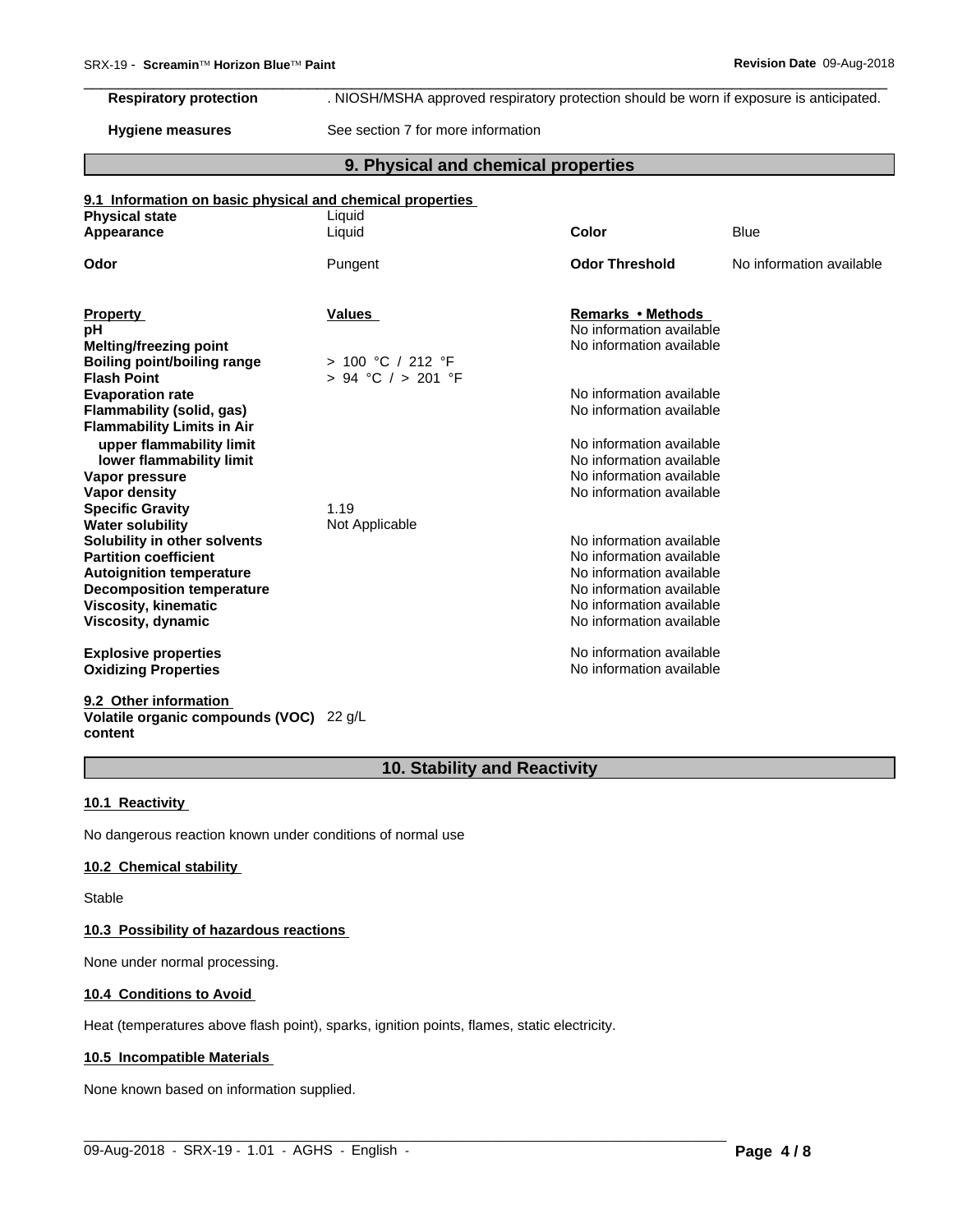# **Respiratory protection** . NIOSH/MSHA approved respiratory protection should be worn if exposure is anticipated.

**Hygiene measures** See section 7 for more information

# **9. Physical and chemical properties**

 $\overline{\phantom{a}}$  ,  $\overline{\phantom{a}}$  ,  $\overline{\phantom{a}}$  ,  $\overline{\phantom{a}}$  ,  $\overline{\phantom{a}}$  ,  $\overline{\phantom{a}}$  ,  $\overline{\phantom{a}}$  ,  $\overline{\phantom{a}}$  ,  $\overline{\phantom{a}}$  ,  $\overline{\phantom{a}}$  ,  $\overline{\phantom{a}}$  ,  $\overline{\phantom{a}}$  ,  $\overline{\phantom{a}}$  ,  $\overline{\phantom{a}}$  ,  $\overline{\phantom{a}}$  ,  $\overline{\phantom{a}}$ 

#### **9.1 Information on basic physical and chemical properties**

| <b>Physical state</b>              | Liquid                 |                          |                          |
|------------------------------------|------------------------|--------------------------|--------------------------|
| Appearance                         | Liquid                 | Color                    | <b>Blue</b>              |
| Odor                               | Pungent                | <b>Odor Threshold</b>    | No information available |
|                                    |                        |                          |                          |
| <b>Property</b>                    | <b>Values</b>          | Remarks • Methods        |                          |
| рH                                 |                        | No information available |                          |
| <b>Melting/freezing point</b>      |                        | No information available |                          |
| <b>Boiling point/boiling range</b> | > 100 °C / 212 °F      |                          |                          |
| <b>Flash Point</b>                 | $> 94$ °C $/ > 201$ °F |                          |                          |
| <b>Evaporation rate</b>            |                        | No information available |                          |
| Flammability (solid, gas)          |                        | No information available |                          |
| <b>Flammability Limits in Air</b>  |                        |                          |                          |
| upper flammability limit           |                        | No information available |                          |
| lower flammability limit           |                        | No information available |                          |
| Vapor pressure                     |                        | No information available |                          |
| Vapor density                      |                        | No information available |                          |
| <b>Specific Gravity</b>            | 1.19                   |                          |                          |
| <b>Water solubility</b>            | Not Applicable         |                          |                          |
| Solubility in other solvents       |                        | No information available |                          |
| <b>Partition coefficient</b>       |                        | No information available |                          |
| <b>Autoignition temperature</b>    |                        | No information available |                          |
| <b>Decomposition temperature</b>   |                        | No information available |                          |
| Viscosity, kinematic               |                        | No information available |                          |
| Viscosity, dynamic                 |                        | No information available |                          |
|                                    |                        |                          |                          |
| <b>Explosive properties</b>        |                        | No information available |                          |
| <b>Oxidizing Properties</b>        |                        | No information available |                          |
|                                    |                        |                          |                          |
|                                    |                        |                          |                          |

**9.2 Other information Volatile organic compounds (VOC)** 22 g/L **content**

# **10. Stability and Reactivity**

 $\_$  ,  $\_$  ,  $\_$  ,  $\_$  ,  $\_$  ,  $\_$  ,  $\_$  ,  $\_$  ,  $\_$  ,  $\_$  ,  $\_$  ,  $\_$  ,  $\_$  ,  $\_$  ,  $\_$  ,  $\_$  ,  $\_$  ,  $\_$  ,  $\_$  ,  $\_$  ,  $\_$  ,  $\_$  ,  $\_$  ,  $\_$  ,  $\_$  ,  $\_$  ,  $\_$  ,  $\_$  ,  $\_$  ,  $\_$  ,  $\_$  ,  $\_$  ,  $\_$  ,  $\_$  ,  $\_$  ,  $\_$  ,  $\_$  ,

#### **10.1 Reactivity**

No dangerous reaction known under conditions of normal use

#### **10.2 Chemical stability**

Stable

#### **10.3 Possibility of hazardous reactions**

None under normal processing.

#### **10.4 Conditions to Avoid**

Heat (temperatures above flash point), sparks, ignition points, flames, static electricity.

#### **10.5 Incompatible Materials**

None known based on information supplied.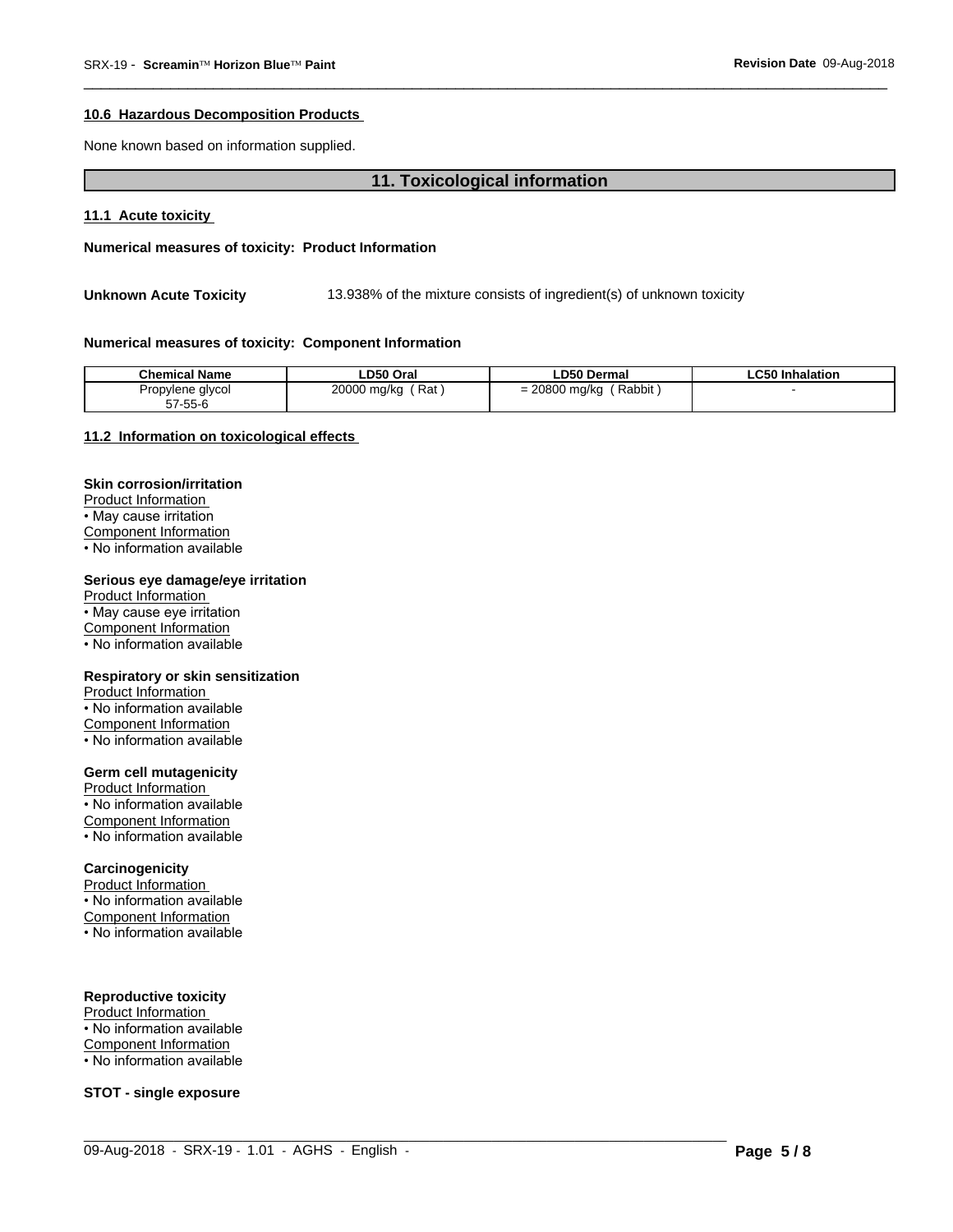#### 10.6 Hazardous Decomposition Products

None known based on information supplied.

# 11. Toxicological information

#### 11.1 Acute toxicity

Numerical measures of toxicity: Product Information

**Unknown Acute Toxicity** 13.938% of the mixture consists of ingredient(s) of unknown toxicity

#### Numerical measures of toxicity: Component Information

| <b>Chemical Name</b> | LD50 Oral   | <b>LD50 Dermal</b> | <b>LC50 Inhalation</b> |
|----------------------|-------------|--------------------|------------------------|
| Propylene glycol     | 20000 mg/kg | Rabbit             |                        |
| $57 - 55 - 6$        | Rat .       | $= 20800$ mg/kg    |                        |

# 11.2 Information on toxicological effects

#### **Skin corrosion/irritation**

Product Information • May cause irritation Component Information • No information available

#### Serious eye damage/eye irritation

**Product Information** • May cause eye irritation Component Information • No information available

#### Respiratory or skin sensitization

**Product Information** • No information available **Component Information** • No information available

# **Germ cell mutagenicity**

Product Information • No information available Component Information • No information available

#### Carcinogenicity

Product Information • No information available Component Information • No information available

#### **Reproductive toxicity**

Product Information • No information available Component Information • No information available

**STOT - single exposure**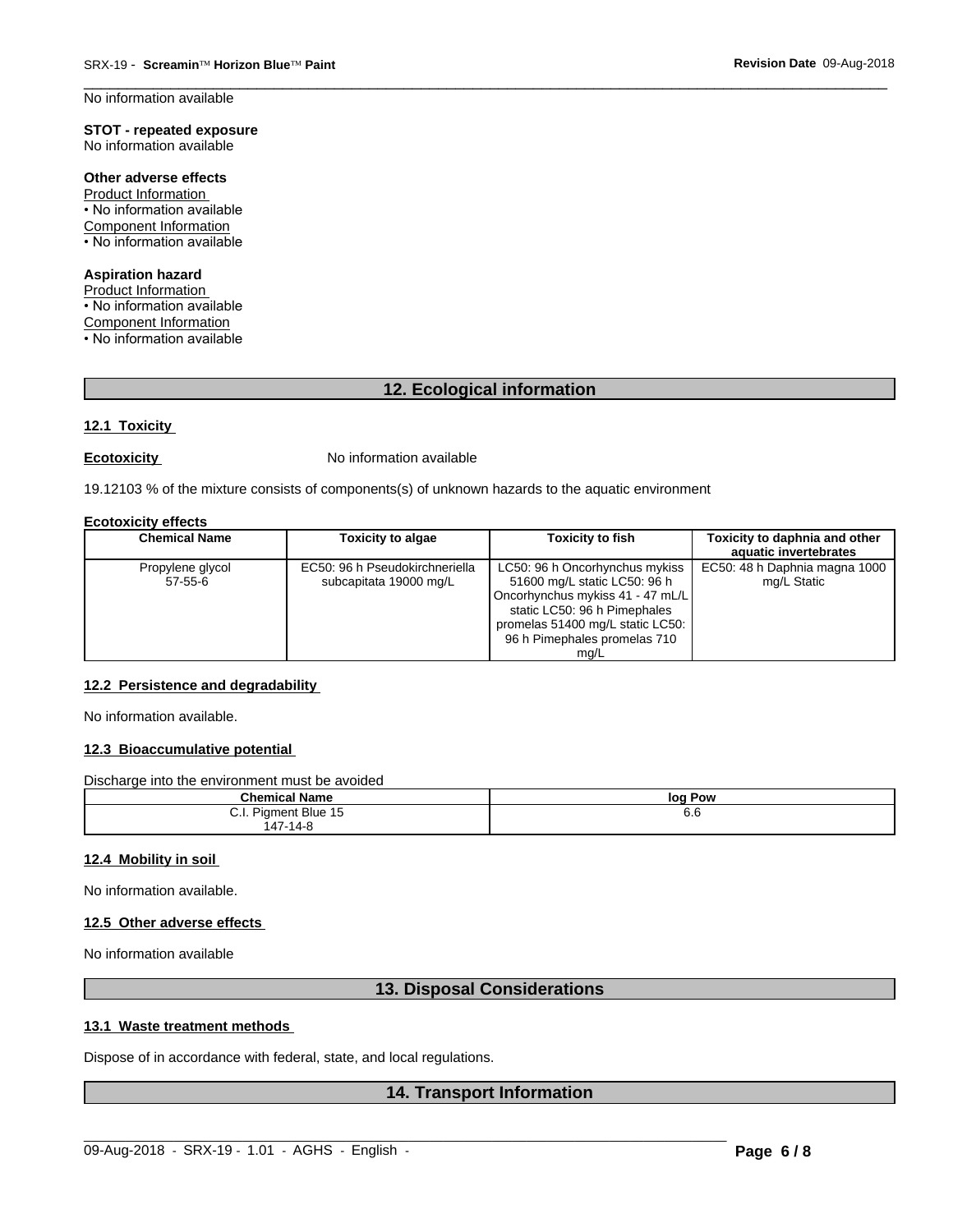No information available

#### **STOT - repeated exposure** No information available

Other adverse effects

Product Information • No information available Component Information • No information available

**Aspiration hazard** Product Information

• No information available **Component Information** • No information available

12. Ecological information

#### 12.1 Toxicity

#### **Ecotoxicity**

No information available

19.12103 % of the mixture consists of components(s) of unknown hazards to the aquatic environment

#### **Ecotoxicity effects**

| <b>Chemical Name</b>          | <b>Toxicity to algae</b>                                 | <b>Toxicity to fish</b>                                                                                                                                                                                        | Toxicity to daphnia and other<br>aquatic invertebrates |
|-------------------------------|----------------------------------------------------------|----------------------------------------------------------------------------------------------------------------------------------------------------------------------------------------------------------------|--------------------------------------------------------|
| Propylene glycol<br>$57-55-6$ | EC50: 96 h Pseudokirchneriella<br>subcapitata 19000 mg/L | LC50: 96 h Oncorhynchus mykiss<br>51600 mg/L static LC50: 96 h<br>Oncorhynchus mykiss 41 - 47 mL/L<br>static LC50: 96 h Pimephales<br>promelas 51400 mg/L static LC50:<br>96 h Pimephales promelas 710<br>mq/L | EC50: 48 h Daphnia magna 1000<br>mg/L Static           |

# 12.2 Persistence and degradability

No information available.

#### 12.3 Bioaccumulative potential

Discharge into the environment must be avoided

| .<br>$ -$<br>$P_{\text{hame}}$<br><b>THE MAIN AN</b><br>⊪name | log<br>∣ Pow |
|---------------------------------------------------------------|--------------|
| Piament<br>. .<br>`Blue 15<br>◡.୲.                            | 6.6          |
| $\rightarrow$<br>+7-14-የ                                      |              |

#### 12.4 Mobility in soil

No information available.

#### 12.5 Other adverse effects

No information available

# 13. Disposal Considerations

# 13.1 Waste treatment methods

Dispose of in accordance with federal, state, and local regulations.

# **14. Transport Information**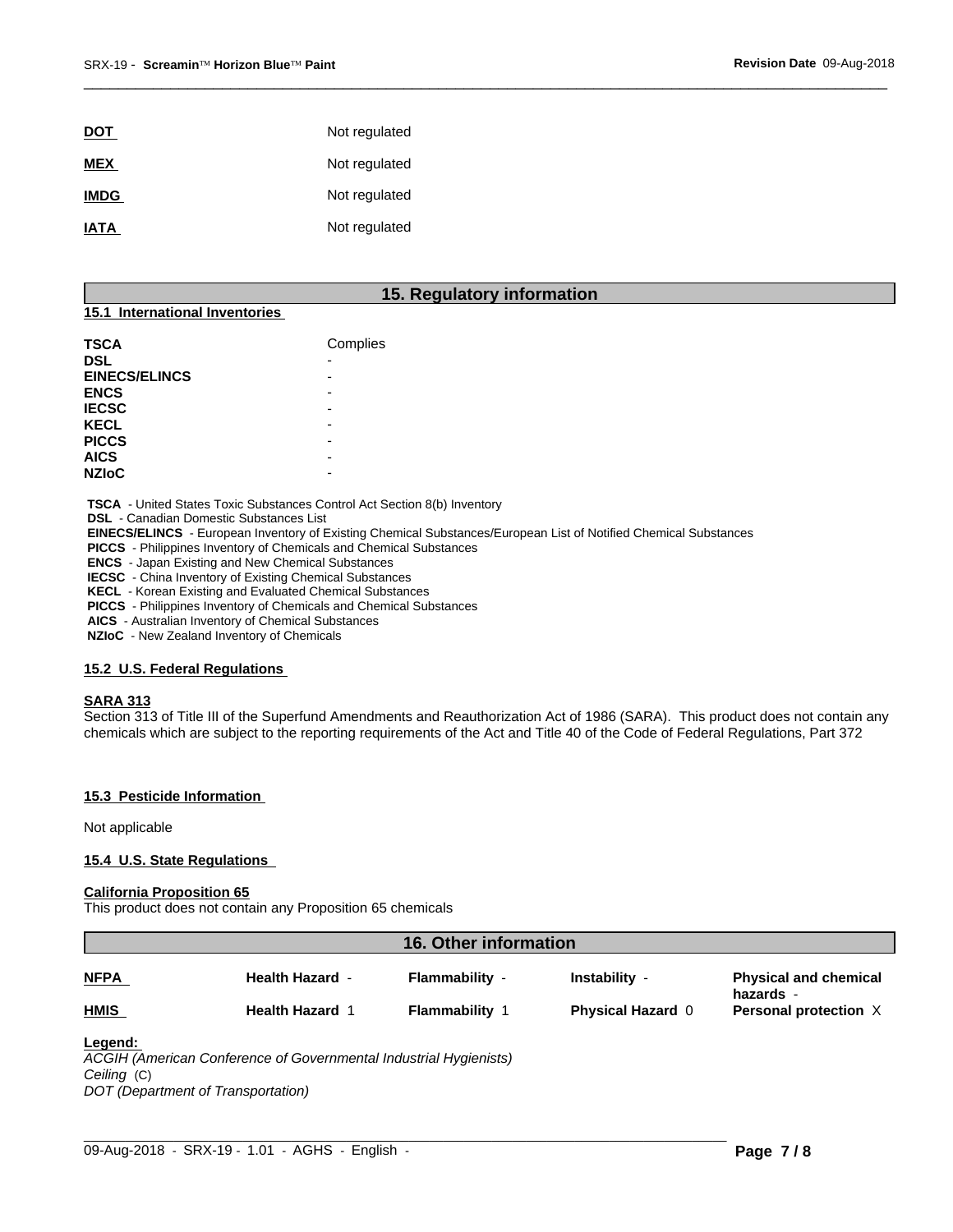| <u>DOT</u>  | Not regulated |
|-------------|---------------|
| <b>MEX</b>  | Not regulated |
| <b>IMDG</b> | Not regulated |
| <b>IATA</b> | Not regulated |

# **15. Regulatory information**

 $\overline{\phantom{a}}$  ,  $\overline{\phantom{a}}$  ,  $\overline{\phantom{a}}$  ,  $\overline{\phantom{a}}$  ,  $\overline{\phantom{a}}$  ,  $\overline{\phantom{a}}$  ,  $\overline{\phantom{a}}$  ,  $\overline{\phantom{a}}$  ,  $\overline{\phantom{a}}$  ,  $\overline{\phantom{a}}$  ,  $\overline{\phantom{a}}$  ,  $\overline{\phantom{a}}$  ,  $\overline{\phantom{a}}$  ,  $\overline{\phantom{a}}$  ,  $\overline{\phantom{a}}$  ,  $\overline{\phantom{a}}$ 

# **15.1 International Inventories**

| <b>TSCA</b>          | Complies |
|----------------------|----------|
| <b>DSL</b>           |          |
| <b>EINECS/ELINCS</b> |          |
| <b>ENCS</b>          |          |
| <b>IECSC</b>         | -        |
| <b>KECL</b>          |          |
| <b>PICCS</b>         | -        |
| <b>AICS</b>          | -        |
| <b>NZIoC</b>         | -        |

 **TSCA** - United States Toxic Substances Control Act Section 8(b) Inventory

 **DSL** - Canadian Domestic Substances List

 **EINECS/ELINCS** - European Inventory of Existing Chemical Substances/European List of Notified Chemical Substances

 **PICCS** - Philippines Inventory of Chemicals and Chemical Substances

 **ENCS** - Japan Existing and New Chemical Substances

 **IECSC** - China Inventory of Existing Chemical Substances

 **KECL** - Korean Existing and Evaluated Chemical Substances

 **PICCS** - Philippines Inventory of Chemicals and Chemical Substances

 **AICS** - Australian Inventory of Chemical Substances

 **NZIoC** - New Zealand Inventory of Chemicals

#### **15.2 U.S. Federal Regulations**

#### **SARA 313**

Section 313 of Title III of the Superfund Amendments and Reauthorization Act of 1986 (SARA). This product does not contain any chemicals which are subject to the reporting requirements of the Act and Title 40 of the Code of Federal Regulations, Part 372

### **15.3 Pesticide Information**

Not applicable

### **15.4 U.S. State Regulations**

#### **California Proposition 65**

This product does not contain any Proposition 65 chemicals

| <b>Health Hazard -</b><br>Flammability -<br>Instability -                   |             | 16. Other information |                                           |
|-----------------------------------------------------------------------------|-------------|-----------------------|-------------------------------------------|
|                                                                             | <b>NFPA</b> |                       | <b>Physical and chemical</b><br>hazards - |
| <b>Flammability 1</b><br><b>Physical Hazard 0</b><br><b>Health Hazard 1</b> | <b>HMIS</b> |                       | <b>Personal protection X</b>              |

# **Legend:**

*ACGIH (American Conference of Governmental Industrial Hygienists) Ceiling* (C) *DOT (Department of Transportation)*